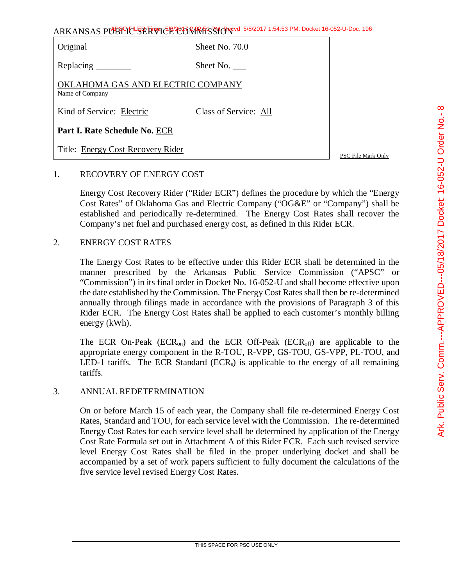| Original                                             | Sheet No. 70.0        |
|------------------------------------------------------|-----------------------|
| Replacing _________                                  | Sheet No.             |
| OKLAHOMA GAS AND ELECTRIC COMPANY<br>Name of Company |                       |
| Kind of Service: Electric                            | Class of Service: All |
| Part I. Rate Schedule No. ECR                        |                       |
| Title: Energy Cost Recovery Rider                    |                       |

PSC File Mark Only

## 1. RECOVERY OF ENERGY COST

Energy Cost Recovery Rider ("Rider ECR") defines the procedure by which the "Energy Cost Rates" of Oklahoma Gas and Electric Company ("OG&E" or "Company") shall be established and periodically re-determined. The Energy Cost Rates shall recover the Company's net fuel and purchased energy cost, as defined in this Rider ECR.

#### 2. ENERGY COST RATES

The Energy Cost Rates to be effective under this Rider ECR shall be determined in the manner prescribed by the Arkansas Public Service Commission ("APSC" or "Commission") in its final order in Docket No. 16-052-U and shall become effective upon the date established by the Commission. The Energy Cost Rates shall then be re-determined annually through filings made in accordance with the provisions of Paragraph 3 of this Rider ECR. The Energy Cost Rates shall be applied to each customer's monthly billing energy (kWh).

The ECR On-Peak ( $ECR_{on}$ ) and the ECR Off-Peak ( $ECR_{off}$ ) are applicable to the appropriate energy component in the R-TOU, R-VPP, GS-TOU, GS-VPP, PL-TOU, and LED-1 tariffs. The ECR Standard (ECR<sub>s</sub>) is applicable to the energy of all remaining tariffs.

#### 3. ANNUAL REDETERMINATION

On or before March 15 of each year, the Company shall file re-determined Energy Cost Rates, Standard and TOU, for each service level with the Commission. The re-determined Energy Cost Rates for each service level shall be determined by application of the Energy Cost Rate Formula set out in Attachment A of this Rider ECR. Each such revised service level Energy Cost Rates shall be filed in the proper underlying docket and shall be accompanied by a set of work papers sufficient to fully document the calculations of the five service level revised Energy Cost Rates.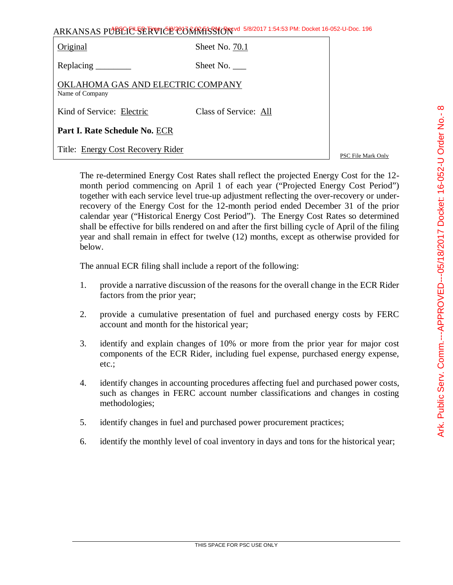| ARKANSAS PUBLICE SERVICE CONTRASSION 5/8/2017 1:54:53 PM: Docket 16-052-U-Doc. 196 |
|------------------------------------------------------------------------------------|
|------------------------------------------------------------------------------------|

| Original                                             | Sheet No. 70.1        |
|------------------------------------------------------|-----------------------|
|                                                      | Sheet No. $\qquad$    |
| OKLAHOMA GAS AND ELECTRIC COMPANY<br>Name of Company |                       |
| Kind of Service: Electric                            | Class of Service: All |
| Part I. Rate Schedule No. ECR                        |                       |
| Title: Energy Cost Recovery Rider                    |                       |

PSC File Mark Only

The re-determined Energy Cost Rates shall reflect the projected Energy Cost for the 12 month period commencing on April 1 of each year ("Projected Energy Cost Period") together with each service level true-up adjustment reflecting the over-recovery or underrecovery of the Energy Cost for the 12-month period ended December 31 of the prior calendar year ("Historical Energy Cost Period"). The Energy Cost Rates so determined shall be effective for bills rendered on and after the first billing cycle of April of the filing year and shall remain in effect for twelve (12) months, except as otherwise provided for below.

The annual ECR filing shall include a report of the following:

- 1. provide a narrative discussion of the reasons for the overall change in the ECR Rider factors from the prior year;
- 2. provide a cumulative presentation of fuel and purchased energy costs by FERC account and month for the historical year;
- 3. identify and explain changes of 10% or more from the prior year for major cost components of the ECR Rider, including fuel expense, purchased energy expense, etc.;
- 4. identify changes in accounting procedures affecting fuel and purchased power costs, such as changes in FERC account number classifications and changes in costing methodologies;
- 5. identify changes in fuel and purchased power procurement practices;
- 6. identify the monthly level of coal inventory in days and tons for the historical year;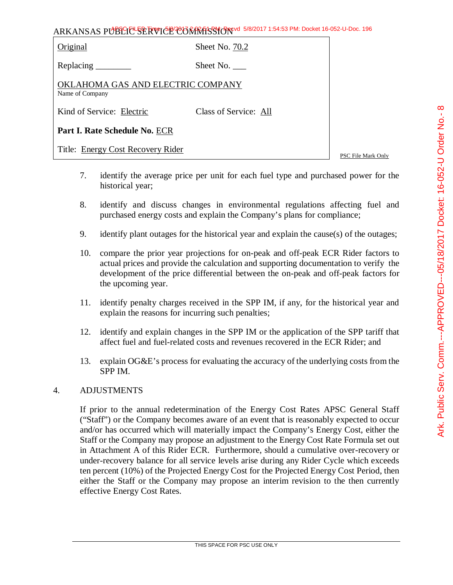|  | rıgınal |
|--|---------|
|  |         |

Sheet No. 70.2

Replacing Sheet No.

OKLAHOMA GAS AND ELECTRIC COMPANY Name of Company

Kind of Service: Electric Class of Service: All

**Part I. Rate Schedule No.** ECR

Title: Energy Cost Recovery Rider

PSC File Mark Only

- 7. identify the average price per unit for each fuel type and purchased power for the historical year;
- 8. identify and discuss changes in environmental regulations affecting fuel and purchased energy costs and explain the Company's plans for compliance;
- 9. identify plant outages for the historical year and explain the cause(s) of the outages;
- 10. compare the prior year projections for on-peak and off-peak ECR Rider factors to actual prices and provide the calculation and supporting documentation to verify the development of the price differential between the on-peak and off-peak factors for the upcoming year.
- 11. identify penalty charges received in the SPP IM, if any, for the historical year and explain the reasons for incurring such penalties;
- 12. identify and explain changes in the SPP IM or the application of the SPP tariff that affect fuel and fuel-related costs and revenues recovered in the ECR Rider; and
- 13. explain OG&E's process for evaluating the accuracy of the underlying costs from the SPP IM.

## 4. ADJUSTMENTS

If prior to the annual redetermination of the Energy Cost Rates APSC General Staff ("Staff") or the Company becomes aware of an event that is reasonably expected to occur and/or has occurred which will materially impact the Company's Energy Cost, either the Staff or the Company may propose an adjustment to the Energy Cost Rate Formula set out in Attachment A of this Rider ECR. Furthermore, should a cumulative over-recovery or under-recovery balance for all service levels arise during any Rider Cycle which exceeds ten percent (10%) of the Projected Energy Cost for the Projected Energy Cost Period, then either the Staff or the Company may propose an interim revision to the then currently effective Energy Cost Rates.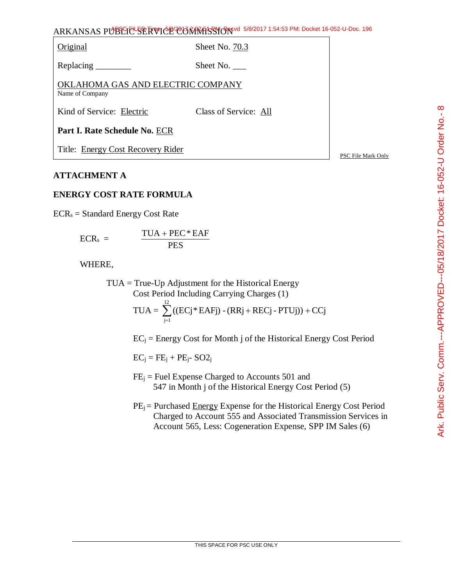Original Sheet No. 70.3

Replacing Sheet No.

OKLAHOMA GAS AND ELECTRIC COMPANY Name of Company

Kind of Service: Electric Class of Service: All

**Part I. Rate Schedule No.** ECR

Title: Energy Cost Recovery Rider

PSC File Mark Only

## **ATTACHMENT A**

# **ENERGY COST RATE FORMULA**

 $ECR<sub>s</sub> = Standard Energy Cost Rate$ 

$$
ECR_s = \frac{TUA + PEC * EAF}{PES}
$$

WHERE,

TUA = True-Up Adjustment for the Historical Energy Cost Period Including Carrying Charges (1) 12

$$
TUA = \sum_{j=1}^{10} ((ECj * EAFj) - (RRj + RECj - PTUj)) + CCj
$$

 $EC_i = Energy Cost for Month j of the Historical Energy Cost Period$ 

 $EC_i = FE_i + PE_i - SO2_i$ 

- $FE<sub>i</sub>$  = Fuel Expense Charged to Accounts 501 and 547 in Month j of the Historical Energy Cost Period (5)
- $PE_i$  = Purchased Energy Expense for the Historical Energy Cost Period Charged to Account 555 and Associated Transmission Services in Account 565, Less: Cogeneration Expense, SPP IM Sales (6)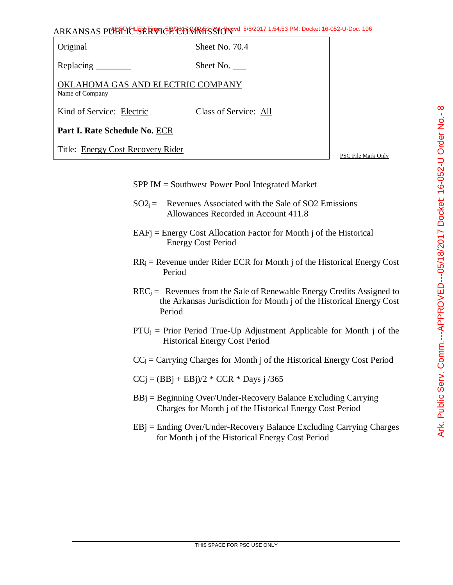| Original                                             | Sheet No. 70.4        |                    |
|------------------------------------------------------|-----------------------|--------------------|
|                                                      | Sheet No.             |                    |
| OKLAHOMA GAS AND ELECTRIC COMPANY<br>Name of Company |                       |                    |
| Kind of Service: Electric                            | Class of Service: All |                    |
| Part I. Rate Schedule No. ECR                        |                       |                    |
| Title: Energy Cost Recovery Rider                    |                       | PSC File Mark Only |

## SPP IM = Southwest Power Pool Integrated Market

- $SO2_i =$  Revenues Associated with the Sale of SO2 Emissions Allowances Recorded in Account 411.8
- EAFj = Energy Cost Allocation Factor for Month j of the Historical Energy Cost Period
- $RR_i$  = Revenue under Rider ECR for Month j of the Historical Energy Cost Period
- $REC_i =$  Revenues from the Sale of Renewable Energy Credits Assigned to the Arkansas Jurisdiction for Month j of the Historical Energy Cost Period
- $PTU_i = Prior Period True-Up Adjustment Applicable for Month j of the$ Historical Energy Cost Period
- $CC_i =$  Carrying Charges for Month j of the Historical Energy Cost Period
- $CCj = (BBj + EBj)/2 * CCR * Days j /365$
- $BBj = Beginning Over/Under-Recovery Balance Excluding Carrying$ Charges for Month j of the Historical Energy Cost Period
- $EB$ j = Ending Over/Under-Recovery Balance Excluding Carrying Charges for Month j of the Historical Energy Cost Period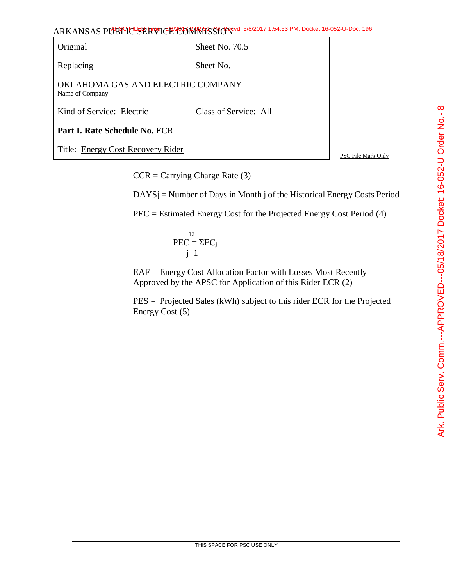Original Sheet No. 70.5 Replacing \_\_\_\_\_\_\_\_\_ Sheet No. \_\_\_\_ OKLAHOMA GAS AND ELECTRIC COMPANY Name of Company Kind of Service: Electric Class of Service: All **Part I. Rate Schedule No.** ECR Title: Energy Cost Recovery Rider

PSC File Mark Only

 $CCR = Carrying Charge Rate (3)$ 

DAYSj = Number of Days in Month j of the Historical Energy Costs Period

PEC = Estimated Energy Cost for the Projected Energy Cost Period (4)

$$
PEC = \Sigma EC_j
$$
  

$$
j=1
$$

EAF = Energy Cost Allocation Factor with Losses Most Recently Approved by the APSC for Application of this Rider ECR (2)

PES = Projected Sales (kWh) subject to this rider ECR for the Projected Energy Cost (5)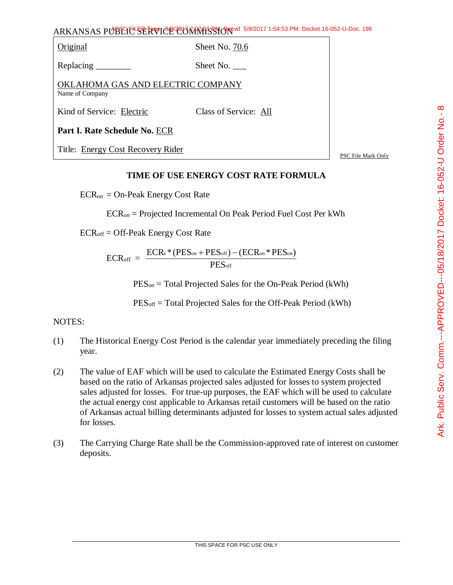Original Sheet No. 70.6

Replacing Sheet No.

OKLAHOMA GAS AND ELECTRIC COMPANY Name of Company

Kind of Service: Electric Class of Service: All

**Part I. Rate Schedule No.** ECR

Title: Energy Cost Recovery Rider

PSC File Mark Only

# **TIME OF USE ENERGY COST RATE FORMULA**

 $ECR_{on} = On-Peak Energy Cost Rate$ 

ECRon = Projected Incremental On Peak Period Fuel Cost Per kWh

 $ECR<sub>off</sub> = Off-Peak Energy Cost Rate$ 

 $ECR_{off}$  = PES<sub>off</sub>  $\text{ECRs} * (\text{PES}_{\text{on}} + \text{PES}_{\text{off}}) - (\text{ECR}_{\text{on}} * \text{PES}_{\text{on}})$ 

PESon = Total Projected Sales for the On-Peak Period (kWh)

PESoff = Total Projected Sales for the Off-Peak Period (kWh)

## NOTES:

- (1) The Historical Energy Cost Period is the calendar year immediately preceding the filing year.
- (2) The value of EAF which will be used to calculate the Estimated Energy Costs shall be based on the ratio of Arkansas projected sales adjusted for losses to system projected sales adjusted for losses. For true-up purposes, the EAF which will be used to calculate the actual energy cost applicable to Arkansas retail customers will be based on the ratio of Arkansas actual billing determinants adjusted for losses to system actual sales adjusted for losses.
- (3) The Carrying Charge Rate shall be the Commission-approved rate of interest on customer deposits.